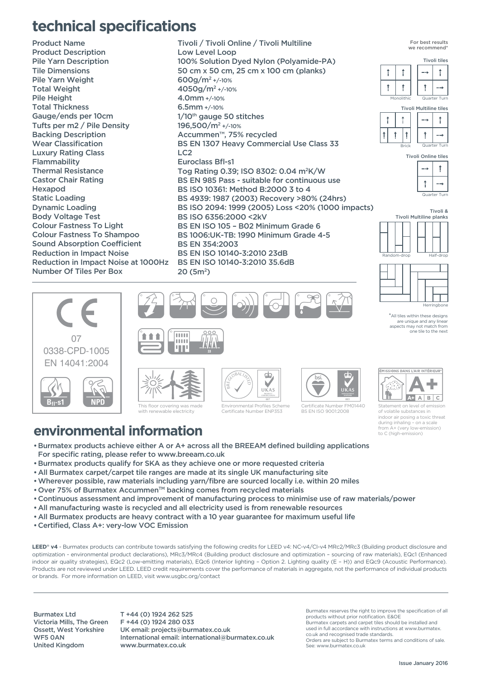## **technical specifications**

Product Name Product Description Pile Yarn Description Tile Dimensions Pile Yarn Weight Total Weight Pile Height Total Thickness Gauge/ends per 10cm Tufts per m2 / Pile Density Backing Description Wear Classification Luxury Rating Class Flammability Thermal Resistance Castor Chair Rating Hexapod Static Loading Dynamic Loading Body Voltage Test Colour Fastness To Light Colour Fastness To Shampoo Sound Absorption Coefficient Reduction in Impact Noise Reduction in Impact Noise at 1000Hz Number Of Tiles Per Box

20 (5m<sup>2</sup>)<br>(2) (3) (3) (3) (3) (3) Tivoli / Tivoli Online / Tivoli Multiline Low Level Loop 100% Solution Dyed Nylon (Polyamide-PA) 50 cm x 50 cm, 25 cm x 100 cm (planks) 600g/m2 +/-10% 4050g/m2 +/-10% 4.0mm +/-10% 6.5mm +/-10% 1/10<sup>th</sup> gauge 50 stitches 196,500/m2 +/-10% Accummen™, 75% recycled BS EN 1307 Heavy Commercial Use Class 33  $LC2$ Euroclass Bfl-s1 Tog Rating 0.39; ISO 8302: 0.04 m2K/W BS EN 985 Pass - suitable for continuous use BS ISO 10361: Method B:2000 3 to 4 BS 4939: 1987 (2003) Recovery >80% (24hrs) BS ISO 2094: 1999 (2005) Loss <20% (1000 impacts) BS ISO 6356:2000 <2kV BS EN ISO 105 – B02 Minimum Grade 6 BS 1006:UK-TB: 1990 Minimum Grade 4-5 BS EN 354:2003 BS EN ISO 10140-3:2010 23dB BS EN ISO 10140-3:2010 35.6dB 20 (5m2)







Tivoli Online tiles







 $*$ All tiles within these are unique and any linear aspects may not match from one tile to the next





 $\mathbf{d}$ GLOBALLIST N  $UKAS$ Environmental Profiles Scheme

Certificate Number ENP353



Certificate Number FM01440 BS EN ISO 9001:2008



Statement on level of emission of volatile substances in indoor air posing a toxic threat during inhaling – on a scale from A+ (very low-emission) to C (high-emission)

## **environmental information**

- •Burmatex products achieve either A or A+ across all the BREEAM defined building applications For specific rating, please refer to www.breeam.co.uk
- •Burmatex products qualify for SKA as they achieve one or more requested criteria
- •All Burmatex carpet/carpet tile ranges are made at its single UK manufacturing site
- •Wherever possible, raw materials including yarn/fibre are sourced locally i.e. within 20 miles
- Over 75% of Burmatex Accummen™ backing comes from recycled materials
- •Continuous assessment and improvement of manufacturing process to minimise use of raw materials/power
- •All manufacturing waste is recycled and all electricity used is from renewable resources
- •All Burmatex products are heavy contract with a 10 year guarantee for maximum useful life
- •Certified, Class A+: very-low VOC Emission

LEED<sup>®</sup> v4 - Burmatex products can contribute towards satisfying the following credits for LEED v4: NC-v4/CI-v4 MRc2/MRc3 (Building product disclosure and optimization - environmental product declarations), MRc3/MRc4 (Building product disclosure and optimization – sourcing of raw materials), EQc1 (Enhanced indoor air quality strategies), EQc2 (Low-emitting materials), EQc6 (Interior lighting – Option 2. Lighting quality (E – H)) and EQc9 (Acoustic Performance). Products are not reviewed under LEED. LEED credit requirements cover the performance of materials in aggregate, not the performance of individual products or brands. For more information on LEED, visit www.usgbc.org/contact

Burmatex Ltd Victoria Mills, The Green Ossett, West Yorkshire WF5 0AN United Kingdom

T +44 (0) 1924 262 525 F +44 (0) 1924 280 033 UK email: projects@burmatex.co.uk International email: international@burmatex.co.uk www.burmatex.co.uk

Burmatex reserves the right to improve the specification of all products without prior notification. E&OE Burmatex carpets and carpet tiles should be installed and used in full accordance with instructions at www.burmatex. co.uk and recognised trade standards. Orders are subject to Burmatex terms and conditions of sale. See: www.burmatex.co.uk